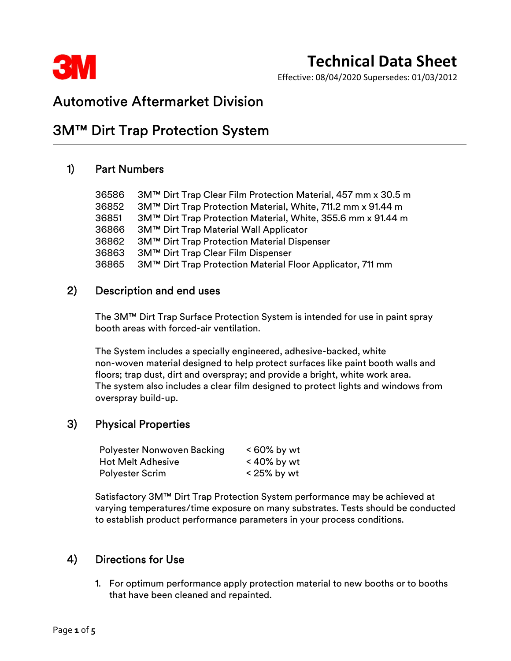

Effective: 08/04/2020 Supersedes: 01/03/2012

## Automotive Aftermarket Division

## 3M™ Dirt Trap Protection System

### 1) Part Numbers

| 36586 | 3M™ Dirt Trap Clear Film Protection Material, 457 mm x 30.5 m |
|-------|---------------------------------------------------------------|
| 36852 | 3M™ Dirt Trap Protection Material, White, 711.2 mm x 91.44 m  |
| 36851 | 3M™ Dirt Trap Protection Material, White, 355.6 mm x 91.44 m  |
| 36866 | 3M™ Dirt Trap Material Wall Applicator                        |
| 36862 | 3M™ Dirt Trap Protection Material Dispenser                   |
| 36863 | 3M™ Dirt Trap Clear Film Dispenser                            |
| 36865 | 3M™ Dirt Trap Protection Material Floor Applicator, 711 mm    |

### 2) Description and end uses

 The 3M™ Dirt Trap Surface Protection System is intended for use in paint spray booth areas with forced-air ventilation.

The System includes a specially engineered, adhesive-backed, white non-woven material designed to help protect surfaces like paint booth walls and floors; trap dust, dirt and overspray; and provide a bright, white work area. The system also includes a clear film designed to protect lights and windows from overspray build-up.

## 3) Physical Properties

| Polyester Nonwoven Backing | $< 60\%$ by wt |
|----------------------------|----------------|
| <b>Hot Melt Adhesive</b>   | $<$ 40% by wt  |
| <b>Polyester Scrim</b>     | $<$ 25% by wt  |

Satisfactory 3M™ Dirt Trap Protection System performance may be achieved at varying temperatures/time exposure on many substrates. Tests should be conducted to establish product performance parameters in your process conditions.

## 4) Directions for Use

 1. For optimum performance apply protection material to new booths or to booths that have been cleaned and repainted.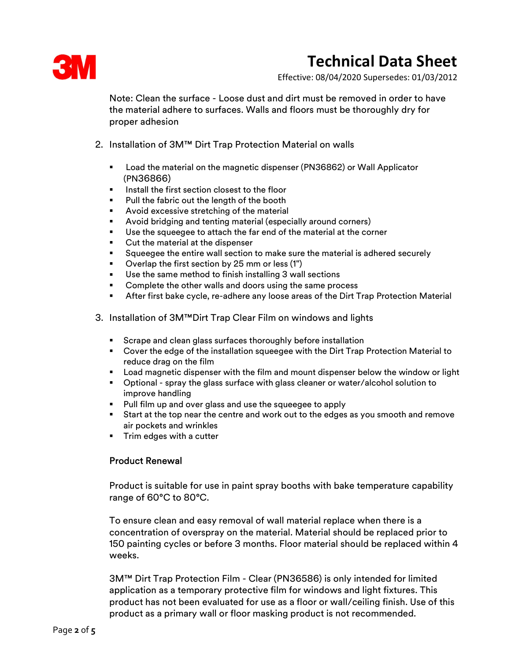

Effective: 08/04/2020 Supersedes: 01/03/2012

Note: Clean the surface - Loose dust and dirt must be removed in order to have the material adhere to surfaces. Walls and floors must be thoroughly dry for proper adhesion

- 2. Installation of 3M™ Dirt Trap Protection Material on walls
	- Load the material on the magnetic dispenser (PN36862) or Wall Applicator (PN36866)
	- Install the first section closest to the floor
	- Pull the fabric out the length of the booth
	- Avoid excessive stretching of the material
	- Avoid bridging and tenting material (especially around corners)
	- Use the squeegee to attach the far end of the material at the corner
	- Cut the material at the dispenser
	- Squeegee the entire wall section to make sure the material is adhered securely
	- Overlap the first section by 25 mm or less (1")
	- Use the same method to finish installing 3 wall sections
	- Complete the other walls and doors using the same process
	- After first bake cycle, re-adhere any loose areas of the Dirt Trap Protection Material
- 3. Installation of 3M™Dirt Trap Clear Film on windows and lights
	- **Scrape and clean glass surfaces thoroughly before installation**
	- Cover the edge of the installation squeegee with the Dirt Trap Protection Material to reduce drag on the film
	- Load magnetic dispenser with the film and mount dispenser below the window or light
	- Optional spray the glass surface with glass cleaner or water/alcohol solution to improve handling
	- **Pull film up and over glass and use the squeegee to apply**
	- Start at the top near the centre and work out to the edges as you smooth and remove air pockets and wrinkles
	- **Trim edges with a cutter**

#### Product Renewal

 Product is suitable for use in paint spray booths with bake temperature capability range of 60°C to 80°C.

To ensure clean and easy removal of wall material replace when there is a concentration of overspray on the material. Material should be replaced prior to 150 painting cycles or before 3 months. Floor material should be replaced within 4 weeks.

3M™ Dirt Trap Protection Film - Clear (PN36586) is only intended for limited application as a temporary protective film for windows and light fixtures. This product has not been evaluated for use as a floor or wall/ceiling finish. Use of this product as a primary wall or floor masking product is not recommended.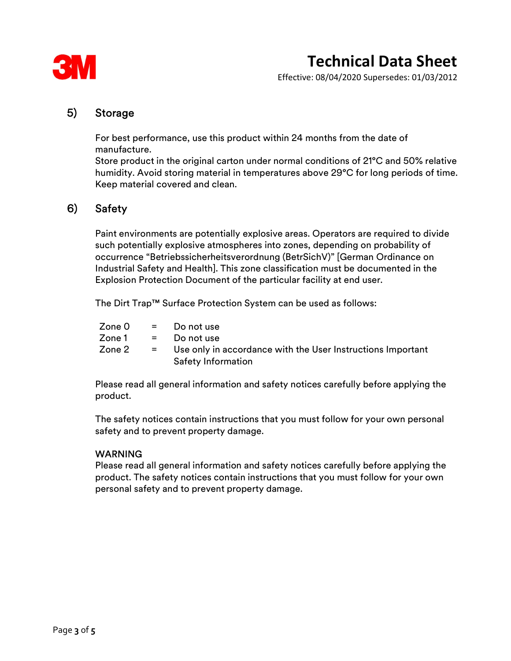

Effective: 08/04/2020 Supersedes: 01/03/2012

### 5) Storage

 For best performance, use this product within 24 months from the date of manufacture.

Store product in the original carton under normal conditions of 21°C and 50% relative humidity. Avoid storing material in temperatures above 29°C for long periods of time. Keep material covered and clean.

## 6) Safety

 Paint environments are potentially explosive areas. Operators are required to divide such potentially explosive atmospheres into zones, depending on probability of occurrence "Betriebssicherheitsverordnung (BetrSichV)" [German Ordinance on Industrial Safety and Health]. This zone classification must be documented in the Explosion Protection Document of the particular facility at end user.

The Dirt Trap™ Surface Protection System can be used as follows:

|        | $\mathsf{Zone}\,0 = \mathsf{Do}\,\mathsf{not}\,\mathsf{use}$                               |
|--------|--------------------------------------------------------------------------------------------|
|        | $\mathsf{Zone1}$ = Do not use                                                              |
| Zone 2 | = Use only in accordance with the User Instructions Important<br><b>Safety Information</b> |

Please read all general information and safety notices carefully before applying the product.

The safety notices contain instructions that you must follow for your own personal safety and to prevent property damage.

#### WARNING

Please read all general information and safety notices carefully before applying the product. The safety notices contain instructions that you must follow for your own personal safety and to prevent property damage.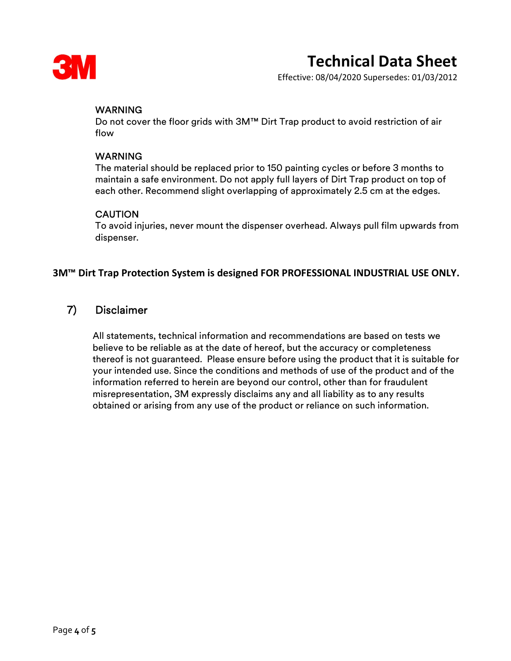

Effective: 08/04/2020 Supersedes: 01/03/2012

#### **WARNING**

Do not cover the floor grids with 3M™ Dirt Trap product to avoid restriction of air flow

#### WARNING

The material should be replaced prior to 150 painting cycles or before 3 months to maintain a safe environment. Do not apply full layers of Dirt Trap product on top of each other. Recommend slight overlapping of approximately 2.5 cm at the edges.

#### **CAUTION**

To avoid injuries, never mount the dispenser overhead. Always pull film upwards from dispenser.

#### 3M™ Dirt Trap Protection System is designed FOR PROFESSIONAL INDUSTRIAL USE ONLY.

### 7) Disclaimer

 All statements, technical information and recommendations are based on tests we believe to be reliable as at the date of hereof, but the accuracy or completeness thereof is not guaranteed. Please ensure before using the product that it is suitable for your intended use. Since the conditions and methods of use of the product and of the information referred to herein are beyond our control, other than for fraudulent misrepresentation, 3M expressly disclaims any and all liability as to any results obtained or arising from any use of the product or reliance on such information.